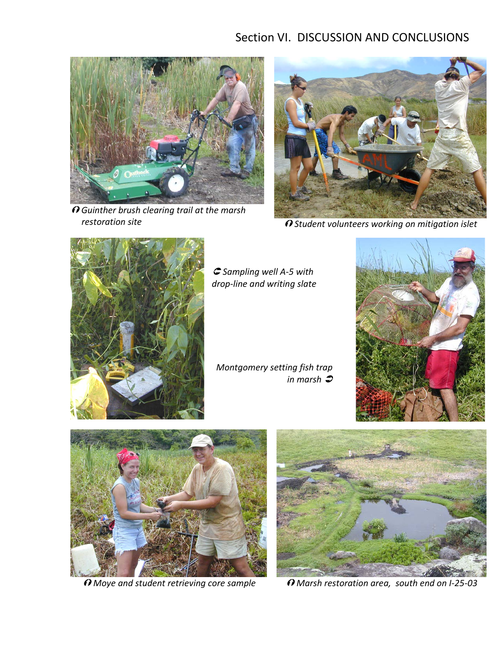## Section VI. DISCUSSION AND CONCLUSIONS



 *Guinther brush clearing trail at the marsh restoration site*



*Student volunteers working on mitigation islet*



 *Sampling well A-5 with drop-line and writing slate*

*Montgomery setting fish trap in marsh*





O Moye and student retrieving core sample



 $\Omega$  *Marsh restoration area, south end on I-25-03*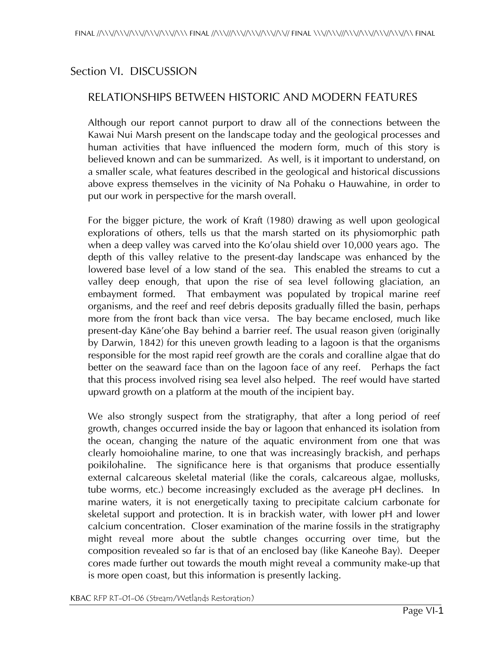## Section VI. DISCUSSION

## RELATIONSHIPS BETWEEN HISTORIC AND MODERN FEATURES

Although our report cannot purport to draw all of the connections between the Kawai Nui Marsh present on the landscape today and the geological processes and human activities that have influenced the modern form, much of this story is believed known and can be summarized. As well, is it important to understand, on a smaller scale, what features described in the geological and historical discussions above express themselves in the vicinity of Na Pohaku o Hauwahine, in order to put our work in perspective for the marsh overall.

For the bigger picture, the work of Kraft (1980) drawing as well upon geological explorations of others, tells us that the marsh started on its physiomorphic path when a deep valley was carved into the Ko'olau shield over 10,000 years ago. The depth of this valley relative to the present-day landscape was enhanced by the lowered base level of a low stand of the sea. This enabled the streams to cut a valley deep enough, that upon the rise of sea level following glaciation, an embayment formed. That embayment was populated by tropical marine reef organisms, and the reef and reef debris deposits gradually filled the basin, perhaps more from the front back than vice versa. The bay became enclosed, much like present-day Käne'ohe Bay behind a barrier reef. The usual reason given (originally by Darwin, 1842) for this uneven growth leading to a lagoon is that the organisms responsible for the most rapid reef growth are the corals and coralline algae that do better on the seaward face than on the lagoon face of any reef. Perhaps the fact that this process involved rising sea level also helped. The reef would have started upward growth on a platform at the mouth of the incipient bay.

We also strongly suspect from the stratigraphy, that after a long period of reef growth, changes occurred inside the bay or lagoon that enhanced its isolation from the ocean, changing the nature of the aquatic environment from one that was clearly homoiohaline marine, to one that was increasingly brackish, and perhaps poikilohaline. The significance here is that organisms that produce essentially external calcareous skeletal material (like the corals, calcareous algae, mollusks, tube worms, etc.) become increasingly excluded as the average pH declines. In marine waters, it is not energetically taxing to precipitate calcium carbonate for skeletal support and protection. It is in brackish water, with lower pH and lower calcium concentration. Closer examination of the marine fossils in the stratigraphy might reveal more about the subtle changes occurring over time, but the composition revealed so far is that of an enclosed bay (like Kaneohe Bay). Deeper cores made further out towards the mouth might reveal a community make-up that is more open coast, but this information is presently lacking.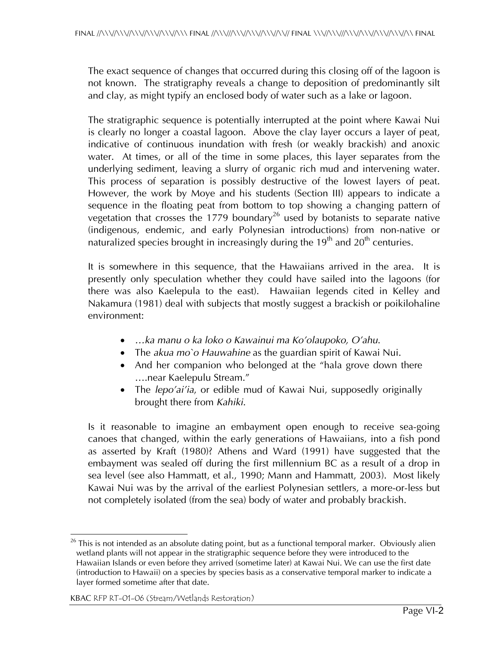The exact sequence of changes that occurred during this closing off of the lagoon is not known. The stratigraphy reveals a change to deposition of predominantly silt and clay, as might typify an enclosed body of water such as a lake or lagoon.

The stratigraphic sequence is potentially interrupted at the point where Kawai Nui is clearly no longer a coastal lagoon. Above the clay layer occurs a layer of peat, indicative of continuous inundation with fresh (or weakly brackish) and anoxic water. At times, or all of the time in some places, this layer separates from the underlying sediment, leaving a slurry of organic rich mud and intervening water. This process of separation is possibly destructive of the lowest layers of peat. However, the work by Moye and his students (Section III) appears to indicate a sequence in the floating peat from bottom to top showing a changing pattern of vegetation that crosses the 1779 boundary<sup>26</sup> used by botanists to separate native (indigenous, endemic, and early Polynesian introductions) from non-native or naturalized species brought in increasingly during the  $19<sup>th</sup>$  and  $20<sup>th</sup>$  centuries.

It is somewhere in this sequence, that the Hawaiians arrived in the area. It is presently only speculation whether they could have sailed into the lagoons (for there was also Kaelepula to the east). Hawaiian legends cited in Kelley and Nakamura (1981) deal with subjects that mostly suggest a brackish or poikilohaline environment:

- *…ka manu o ka loko o Kawainui ma Ko'olaupoko, O'ahu*.
- The *akua mo`o Hauwahine* as the guardian spirit of Kawai Nui.
- And her companion who belonged at the "hala grove down there ….near Kaelepulu Stream."
- The *lepo'ai'ia*, or edible mud of Kawai Nui, supposedly originally brought there from *Kahiki*.

Is it reasonable to imagine an embayment open enough to receive sea-going canoes that changed, within the early generations of Hawaiians, into a fish pond as asserted by Kraft (1980)? Athens and Ward (1991) have suggested that the embayment was sealed off during the first millennium BC as a result of a drop in sea level (see also Hammatt, et al., 1990; Mann and Hammatt, 2003). Most likely Kawai Nui was by the arrival of the earliest Polynesian settlers, a more-or-less but not completely isolated (from the sea) body of water and probably brackish.

 $\overline{a}$  $^{26}$  This is not intended as an absolute dating point, but as a functional temporal marker. Obviously alien wetland plants will not appear in the stratigraphic sequence before they were introduced to the Hawaiian Islands or even before they arrived (sometime later) at Kawai Nui. We can use the first date (introduction to Hawaii) on a species by species basis as a conservative temporal marker to indicate a layer formed sometime after that date.

KBAC RFP RT-01-06 (Stream/Wetlands Restoration)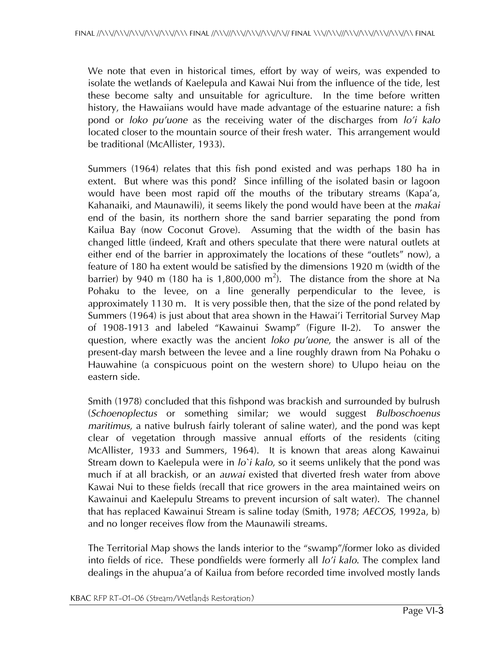We note that even in historical times, effort by way of weirs, was expended to isolate the wetlands of Kaelepula and Kawai Nui from the influence of the tide, lest these become salty and unsuitable for agriculture. In the time before written history, the Hawaiians would have made advantage of the estuarine nature: a fish pond or *loko pu'uone* as the receiving water of the discharges from *lo'i kalo* located closer to the mountain source of their fresh water. This arrangement would be traditional (McAllister, 1933).

Summers (1964) relates that this fish pond existed and was perhaps 180 ha in extent. But where was this pond? Since infilling of the isolated basin or lagoon would have been most rapid off the mouths of the tributary streams (Kapa'a, Kahanaiki, and Maunawili), it seems likely the pond would have been at the *makai* end of the basin, its northern shore the sand barrier separating the pond from Kailua Bay (now Coconut Grove). Assuming that the width of the basin has changed little (indeed, Kraft and others speculate that there were natural outlets at either end of the barrier in approximately the locations of these "outlets" now), a feature of 180 ha extent would be satisfied by the dimensions 1920 m (width of the barrier) by 940 m (180 ha is 1,800,000 m<sup>2</sup>). The distance from the shore at Na Pohaku to the levee, on a line generally perpendicular to the levee, is approximately 1130 m. It is very possible then, that the size of the pond related by Summers (1964) is just about that area shown in the Hawai'i Territorial Survey Map of 1908-1913 and labeled "Kawainui Swamp" (Figure II-2). To answer the question, where exactly was the ancient *loko pu'uone*, the answer is all of the present-day marsh between the levee and a line roughly drawn from Na Pohaku o Hauwahine (a conspicuous point on the western shore) to Ulupo heiau on the eastern side.

Smith (1978) concluded that this fishpond was brackish and surrounded by bulrush (*Schoenoplectus* or something similar; we would suggest *Bulboschoenus maritimus*, a native bulrush fairly tolerant of saline water), and the pond was kept clear of vegetation through massive annual efforts of the residents (citing McAllister, 1933 and Summers, 1964). It is known that areas along Kawainui Stream down to Kaelepula were in *lo`i kalo*, so it seems unlikely that the pond was much if at all brackish, or an *auwai* existed that diverted fresh water from above Kawai Nui to these fields (recall that rice growers in the area maintained weirs on Kawainui and Kaelepulu Streams to prevent incursion of salt water). The channel that has replaced Kawainui Stream is saline today (Smith, 1978; *AECOS*, 1992a, b) and no longer receives flow from the Maunawili streams.

The Territorial Map shows the lands interior to the "swamp"/former loko as divided into fields of rice. These pondfields were formerly all *lo'i kalo*. The complex land dealings in the ahupua'a of Kailua from before recorded time involved mostly lands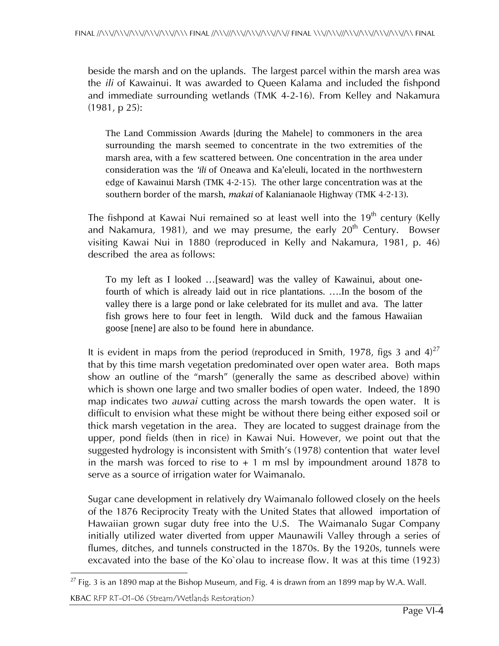beside the marsh and on the uplands. The largest parcel within the marsh area was the *ili* of Kawainui. It was awarded to Queen Kalama and included the fishpond and immediate surrounding wetlands (TMK 4-2-16). From Kelley and Nakamura (1981, p 25):

The Land Commission Awards [during the Mahele] to commoners in the area surrounding the marsh seemed to concentrate in the two extremities of the marsh area, with a few scattered between. One concentration in the area under consideration was the *'ili* of Oneawa and Ka'eleuli, located in the northwestern edge of Kawainui Marsh (TMK 4-2-15). The other large concentration was at the southern border of the marsh, *makai* of Kalanianaole Highway (TMK 4-2-13).

The fishpond at Kawai Nui remained so at least well into the  $19<sup>th</sup>$  century (Kelly and Nakamura, 1981), and we may presume, the early  $20<sup>th</sup>$  Century. Bowser visiting Kawai Nui in 1880 (reproduced in Kelly and Nakamura, 1981, p. 46) described the area as follows:

To my left as I looked …[seaward] was the valley of Kawainui, about onefourth of which is already laid out in rice plantations. ….In the bosom of the valley there is a large pond or lake celebrated for its mullet and ava. The latter fish grows here to four feet in length. Wild duck and the famous Hawaiian goose [nene] are also to be found here in abundance.

It is evident in maps from the period (reproduced in Smith, 1978, figs 3 and  $4)^{27}$ that by this time marsh vegetation predominated over open water area. Both maps show an outline of the "marsh" (generally the same as described above) within which is shown one large and two smaller bodies of open water. Indeed, the 1890 map indicates two *auwai* cutting across the marsh towards the open water. It is difficult to envision what these might be without there being either exposed soil or thick marsh vegetation in the area. They are located to suggest drainage from the upper, pond fields (then in rice) in Kawai Nui. However, we point out that the suggested hydrology is inconsistent with Smith's (1978) contention that water level in the marsh was forced to rise to  $+1$  m msl by impoundment around 1878 to serve as a source of irrigation water for Waimanalo.

Sugar cane development in relatively dry Waimanalo followed closely on the heels of the 1876 Reciprocity Treaty with the United States that allowed importation of Hawaiian grown sugar duty free into the U.S. The Waimanalo Sugar Company initially utilized water diverted from upper Maunawili Valley through a series of flumes, ditches, and tunnels constructed in the 1870s. By the 1920s, tunnels were excavated into the base of the Ko`olau to increase flow. It was at this time (1923)

 $\overline{a}$  $^{27}$  Fig. 3 is an 1890 map at the Bishop Museum, and Fig. 4 is drawn from an 1899 map by W.A. Wall.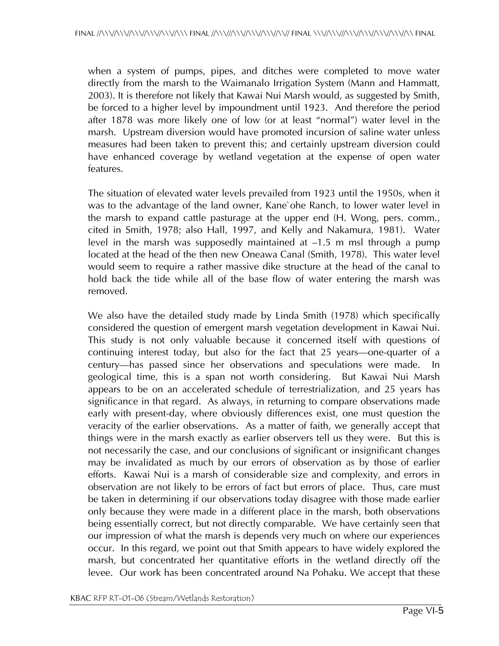when a system of pumps, pipes, and ditches were completed to move water directly from the marsh to the Waimanalo Irrigation System (Mann and Hammatt, 2003). It is therefore not likely that Kawai Nui Marsh would, as suggested by Smith, be forced to a higher level by impoundment until 1923. And therefore the period after 1878 was more likely one of low (or at least "normal") water level in the marsh. Upstream diversion would have promoted incursion of saline water unless measures had been taken to prevent this; and certainly upstream diversion could have enhanced coverage by wetland vegetation at the expense of open water features.

The situation of elevated water levels prevailed from 1923 until the 1950s, when it was to the advantage of the land owner, Kane`ohe Ranch, to lower water level in the marsh to expand cattle pasturage at the upper end (H. Wong, pers. comm., cited in Smith, 1978; also Hall, 1997, and Kelly and Nakamura, 1981). Water level in the marsh was supposedly maintained at –1.5 m msl through a pump located at the head of the then new Oneawa Canal (Smith, 1978). This water level would seem to require a rather massive dike structure at the head of the canal to hold back the tide while all of the base flow of water entering the marsh was removed.

We also have the detailed study made by Linda Smith (1978) which specifically considered the question of emergent marsh vegetation development in Kawai Nui. This study is not only valuable because it concerned itself with questions of continuing interest today, but also for the fact that 25 years—one-quarter of a century—has passed since her observations and speculations were made. In geological time, this is a span not worth considering. But Kawai Nui Marsh appears to be on an accelerated schedule of terrestrialization, and 25 years has significance in that regard. As always, in returning to compare observations made early with present-day, where obviously differences exist, one must question the veracity of the earlier observations. As a matter of faith, we generally accept that things were in the marsh exactly as earlier observers tell us they were. But this is not necessarily the case, and our conclusions of significant or insignificant changes may be invalidated as much by our errors of observation as by those of earlier efforts. Kawai Nui is a marsh of considerable size and complexity, and errors in observation are not likely to be errors of fact but errors of place. Thus, care must be taken in determining if our observations today disagree with those made earlier only because they were made in a different place in the marsh, both observations being essentially correct, but not directly comparable. We have certainly seen that our impression of what the marsh is depends very much on where our experiences occur. In this regard, we point out that Smith appears to have widely explored the marsh, but concentrated her quantitative efforts in the wetland directly off the levee. Our work has been concentrated around Na Pohaku. We accept that these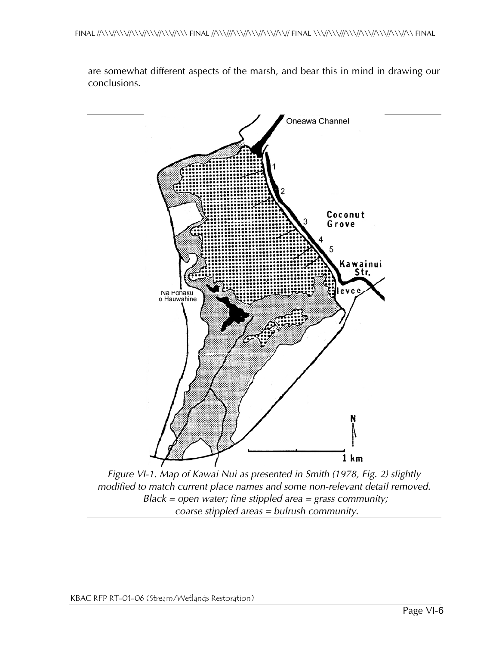are somewhat different aspects of the marsh, and bear this in mind in drawing our conclusions.



*Figure VI-1. Map of Kawai Nui as presented in Smith (1978, Fig. 2) slightly modified to match current place names and some non-relevant detail removed. Black = open water; fine stippled area = grass community; coarse stippled areas = bulrush community.*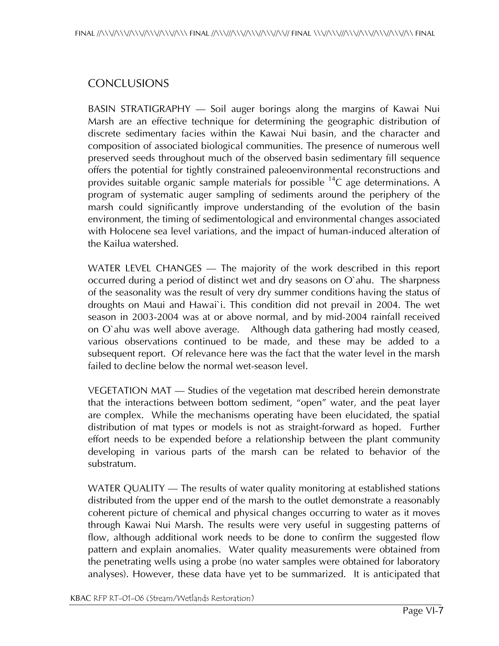## **CONCLUSIONS**

BASIN STRATIGRAPHY — Soil auger borings along the margins of Kawai Nui Marsh are an effective technique for determining the geographic distribution of discrete sedimentary facies within the Kawai Nui basin, and the character and composition of associated biological communities. The presence of numerous well preserved seeds throughout much of the observed basin sedimentary fill sequence offers the potential for tightly constrained paleoenvironmental reconstructions and provides suitable organic sample materials for possible  ${}^{14}C$  age determinations. A program of systematic auger sampling of sediments around the periphery of the marsh could significantly improve understanding of the evolution of the basin environment, the timing of sedimentological and environmental changes associated with Holocene sea level variations, and the impact of human-induced alteration of the Kailua watershed.

WATER LEVEL CHANGES — The majority of the work described in this report occurred during a period of distinct wet and dry seasons on O`ahu. The sharpness of the seasonality was the result of very dry summer conditions having the status of droughts on Maui and Hawai`i. This condition did not prevail in 2004. The wet season in 2003-2004 was at or above normal, and by mid-2004 rainfall received on O`ahu was well above average. Although data gathering had mostly ceased, various observations continued to be made, and these may be added to a subsequent report. Of relevance here was the fact that the water level in the marsh failed to decline below the normal wet-season level.

VEGETATION MAT — Studies of the vegetation mat described herein demonstrate that the interactions between bottom sediment, "open" water, and the peat layer are complex. While the mechanisms operating have been elucidated, the spatial distribution of mat types or models is not as straight-forward as hoped. Further effort needs to be expended before a relationship between the plant community developing in various parts of the marsh can be related to behavior of the substratum.

WATER QUALITY — The results of water quality monitoring at established stations distributed from the upper end of the marsh to the outlet demonstrate a reasonably coherent picture of chemical and physical changes occurring to water as it moves through Kawai Nui Marsh. The results were very useful in suggesting patterns of flow, although additional work needs to be done to confirm the suggested flow pattern and explain anomalies. Water quality measurements were obtained from the penetrating wells using a probe (no water samples were obtained for laboratory analyses). However, these data have yet to be summarized. It is anticipated that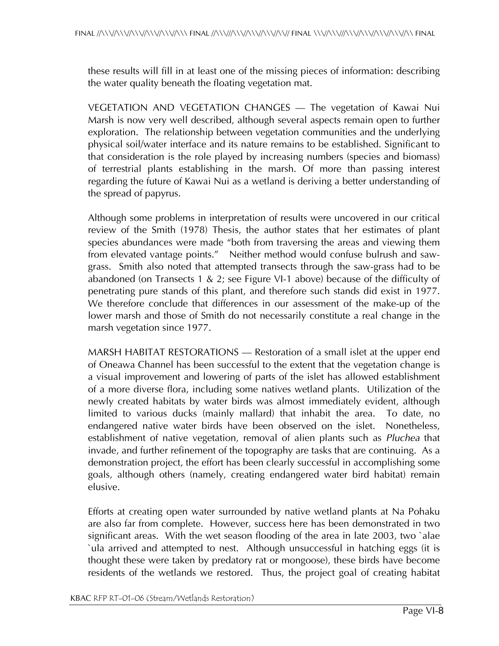these results will fill in at least one of the missing pieces of information: describing the water quality beneath the floating vegetation mat.

VEGETATION AND VEGETATION CHANGES — The vegetation of Kawai Nui Marsh is now very well described, although several aspects remain open to further exploration. The relationship between vegetation communities and the underlying physical soil/water interface and its nature remains to be established. Significant to that consideration is the role played by increasing numbers (species and biomass) of terrestrial plants establishing in the marsh. Of more than passing interest regarding the future of Kawai Nui as a wetland is deriving a better understanding of the spread of papyrus.

Although some problems in interpretation of results were uncovered in our critical review of the Smith (1978) Thesis, the author states that her estimates of plant species abundances were made "both from traversing the areas and viewing them from elevated vantage points." Neither method would confuse bulrush and sawgrass. Smith also noted that attempted transects through the saw-grass had to be abandoned (on Transects 1 & 2; see Figure VI-1 above) because of the difficulty of penetrating pure stands of this plant, and therefore such stands did exist in 1977. We therefore conclude that differences in our assessment of the make-up of the lower marsh and those of Smith do not necessarily constitute a real change in the marsh vegetation since 1977.

MARSH HABITAT RESTORATIONS — Restoration of a small islet at the upper end of Oneawa Channel has been successful to the extent that the vegetation change is a visual improvement and lowering of parts of the islet has allowed establishment of a more diverse flora, including some natives wetland plants. Utilization of the newly created habitats by water birds was almost immediately evident, although limited to various ducks (mainly mallard) that inhabit the area. To date, no endangered native water birds have been observed on the islet. Nonetheless, establishment of native vegetation, removal of alien plants such as *Pluchea* that invade, and further refinement of the topography are tasks that are continuing. As a demonstration project, the effort has been clearly successful in accomplishing some goals, although others (namely, creating endangered water bird habitat) remain elusive.

Efforts at creating open water surrounded by native wetland plants at Na Pohaku are also far from complete. However, success here has been demonstrated in two significant areas. With the wet season flooding of the area in late 2003, two `alae `ula arrived and attempted to nest. Although unsuccessful in hatching eggs (it is thought these were taken by predatory rat or mongoose), these birds have become residents of the wetlands we restored. Thus, the project goal of creating habitat